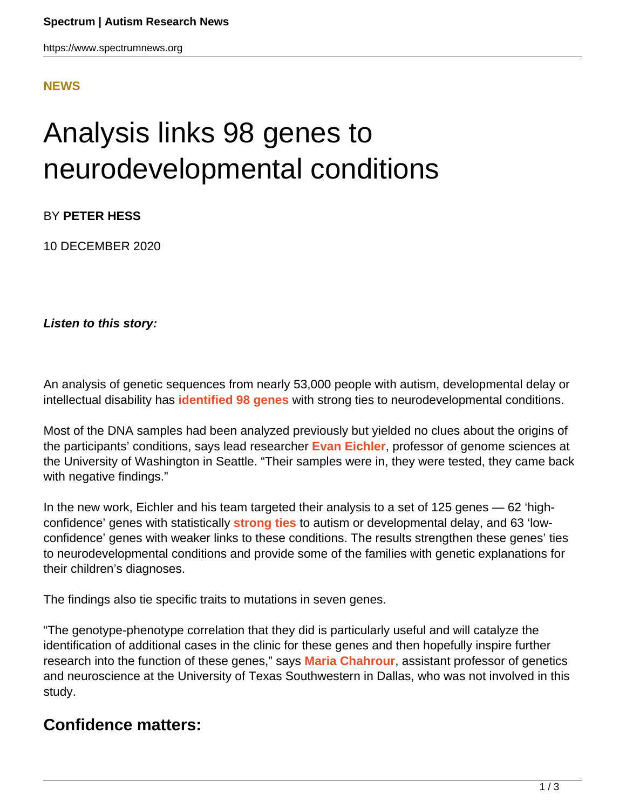https://www.spectrumnews.org

## **[NEWS](HTTPS://WWW.SPECTRUMNEWS.ORG/NEWS/)**

## Analysis links 98 genes to neurodevelopmental conditions

BY **PETER HESS**

10 DECEMBER 2020

**Listen to this story:**

An analysis of genetic sequences from nearly 53,000 people with autism, developmental delay or intellectual disability has **[identified 98 genes](https://doi.org/10.1038/s41467-020-18723-y)** with strong ties to neurodevelopmental conditions.

Most of the DNA samples had been analyzed previously but yielded no clues about the origins of the participants' conditions, says lead researcher **[Evan Eichler](https://www.spectrumnews.org/news/profiles/evan-eichler-following-his-instincts-to-autism-hotspots/)**, professor of genome sciences at the University of Washington in Seattle. "Their samples were in, they were tested, they came back with negative findings."

In the new work, Eichler and his team targeted their analysis to a set of 125 genes — 62 'highconfidence' genes with statistically **[strong ties](https://doi.org/10.1038/ng.3792)** to autism or developmental delay, and 63 'lowconfidence' genes with weaker links to these conditions. The results strengthen these genes' ties to neurodevelopmental conditions and provide some of the families with genetic explanations for their children's diagnoses.

The findings also tie specific traits to mutations in seven genes.

"The genotype-phenotype correlation that they did is particularly useful and will catalyze the identification of additional cases in the clinic for these genes and then hopefully inspire further research into the function of these genes," says **[Maria Chahrour](https://www.spectrumnews.org/author/mariachahrour/)**, assistant professor of genetics and neuroscience at the University of Texas Southwestern in Dallas, who was not involved in this study.

## **Confidence matters:**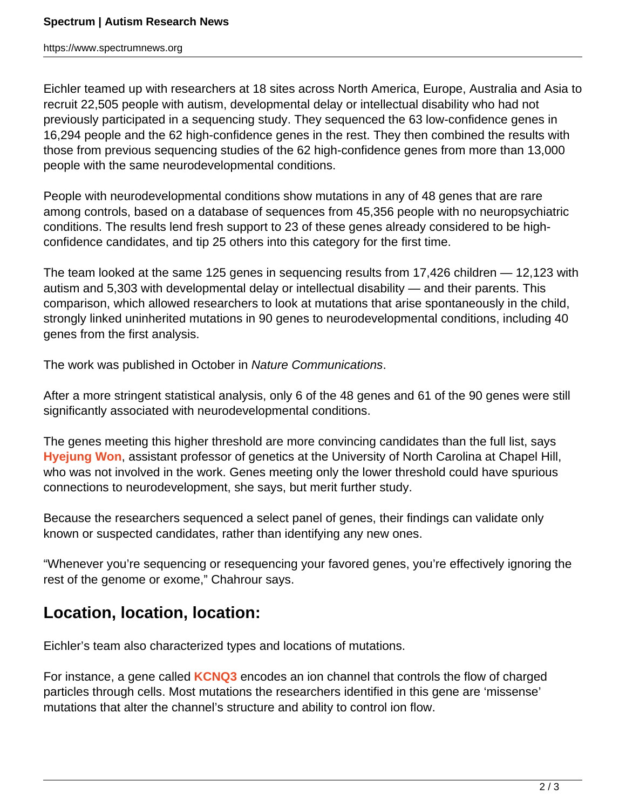https://www.spectrumnews.org

Eichler teamed up with researchers at 18 sites across North America, Europe, Australia and Asia to recruit 22,505 people with autism, developmental delay or intellectual disability who had not previously participated in a sequencing study. They sequenced the 63 low-confidence genes in 16,294 people and the 62 high-confidence genes in the rest. They then combined the results with those from previous sequencing studies of the 62 high-confidence genes from more than 13,000 people with the same neurodevelopmental conditions.

People with neurodevelopmental conditions show mutations in any of 48 genes that are rare among controls, based on a database of sequences from 45,356 people with no neuropsychiatric conditions. The results lend fresh support to 23 of these genes already considered to be highconfidence candidates, and tip 25 others into this category for the first time.

The team looked at the same 125 genes in sequencing results from 17,426 children — 12,123 with autism and 5,303 with developmental delay or intellectual disability — and their parents. This comparison, which allowed researchers to look at mutations that arise spontaneously in the child, strongly linked uninherited mutations in 90 genes to neurodevelopmental conditions, including 40 genes from the first analysis.

The work was published in October in Nature Communications.

After a more stringent statistical analysis, only 6 of the 48 genes and 61 of the 90 genes were still significantly associated with neurodevelopmental conditions.

The genes meeting this higher threshold are more convincing candidates than the full list, says **[Hyejung Won](https://www.med.unc.edu/genetics/directory/hyejung-won-phd/)**, assistant professor of genetics at the University of North Carolina at Chapel Hill, who was not involved in the work. Genes meeting only the lower threshold could have spurious connections to neurodevelopment, she says, but merit further study.

Because the researchers sequenced a select panel of genes, their findings can validate only known or suspected candidates, rather than identifying any new ones.

"Whenever you're sequencing or resequencing your favored genes, you're effectively ignoring the rest of the genome or exome," Chahrour says.

## **Location, location, location:**

Eichler's team also characterized types and locations of mutations.

For instance, a gene called **[KCNQ3](https://gene.sfari.org/database/human-gene/KCNQ3)** encodes an ion channel that controls the flow of charged particles through cells. Most mutations the researchers identified in this gene are 'missense' mutations that alter the channel's structure and ability to control ion flow.